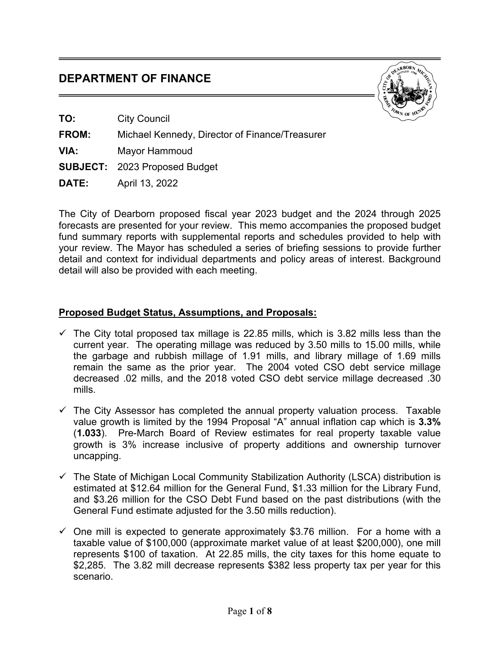# **DEPARTMENT OF FINANCE**



**TO:** City Council

**FROM:** Michael Kennedy, Director of Finance/Treasurer

**VIA:** Mayor Hammoud

**SUBJECT:** 2023 Proposed Budget

**DATE:** April 13, 2022

The City of Dearborn proposed fiscal year 2023 budget and the 2024 through 2025 forecasts are presented for your review. This memo accompanies the proposed budget fund summary reports with supplemental reports and schedules provided to help with your review. The Mayor has scheduled a series of briefing sessions to provide further detail and context for individual departments and policy areas of interest. Background detail will also be provided with each meeting.

## **Proposed Budget Status, Assumptions, and Proposals:**

- $\checkmark$  The City total proposed tax millage is 22.85 mills, which is 3.82 mills less than the current year. The operating millage was reduced by 3.50 mills to 15.00 mills, while the garbage and rubbish millage of 1.91 mills, and library millage of 1.69 mills remain the same as the prior year. The 2004 voted CSO debt service millage decreased .02 mills, and the 2018 voted CSO debt service millage decreased .30 mills.
- $\checkmark$  The City Assessor has completed the annual property valuation process. Taxable value growth is limited by the 1994 Proposal "A" annual inflation cap which is **3.3%** (**1.033**). Pre-March Board of Review estimates for real property taxable value growth is 3% increase inclusive of property additions and ownership turnover uncapping.
- $\checkmark$  The State of Michigan Local Community Stabilization Authority (LSCA) distribution is estimated at \$12.64 million for the General Fund, \$1.33 million for the Library Fund, and \$3.26 million for the CSO Debt Fund based on the past distributions (with the General Fund estimate adjusted for the 3.50 mills reduction).
- $\checkmark$  One mill is expected to generate approximately \$3.76 million. For a home with a taxable value of \$100,000 (approximate market value of at least \$200,000), one mill represents \$100 of taxation. At 22.85 mills, the city taxes for this home equate to \$2,285. The 3.82 mill decrease represents \$382 less property tax per year for this scenario.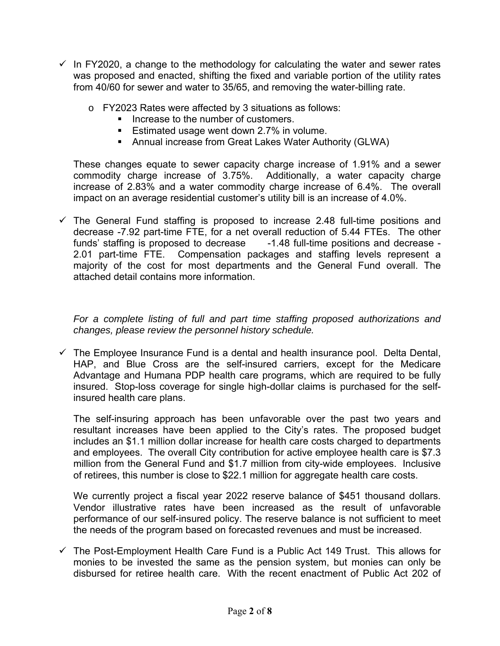- $\checkmark$  In FY2020, a change to the methodology for calculating the water and sewer rates was proposed and enacted, shifting the fixed and variable portion of the utility rates from 40/60 for sewer and water to 35/65, and removing the water-billing rate.
	- o FY2023 Rates were affected by 3 situations as follows:
		- Increase to the number of customers.
		- **Estimated usage went down 2.7% in volume.**
		- Annual increase from Great Lakes Water Authority (GLWA)

These changes equate to sewer capacity charge increase of 1.91% and a sewer commodity charge increase of 3.75%. Additionally, a water capacity charge increase of 2.83% and a water commodity charge increase of 6.4%. The overall impact on an average residential customer's utility bill is an increase of 4.0%.

 $\checkmark$  The General Fund staffing is proposed to increase 2.48 full-time positions and decrease -7.92 part-time FTE, for a net overall reduction of 5.44 FTEs. The other funds' staffing is proposed to decrease  $-1.48$  full-time positions and decrease -2.01 part-time FTE. Compensation packages and staffing levels represent a majority of the cost for most departments and the General Fund overall. The attached detail contains more information.

*For a complete listing of full and part time staffing proposed authorizations and changes, please review the personnel history schedule.* 

 $\checkmark$  The Employee Insurance Fund is a dental and health insurance pool. Delta Dental, HAP, and Blue Cross are the self-insured carriers, except for the Medicare Advantage and Humana PDP health care programs, which are required to be fully insured. Stop-loss coverage for single high-dollar claims is purchased for the selfinsured health care plans.

The self-insuring approach has been unfavorable over the past two years and resultant increases have been applied to the City's rates. The proposed budget includes an \$1.1 million dollar increase for health care costs charged to departments and employees. The overall City contribution for active employee health care is \$7.3 million from the General Fund and \$1.7 million from city-wide employees. Inclusive of retirees, this number is close to \$22.1 million for aggregate health care costs.

We currently project a fiscal year 2022 reserve balance of \$451 thousand dollars. Vendor illustrative rates have been increased as the result of unfavorable performance of our self-insured policy. The reserve balance is not sufficient to meet the needs of the program based on forecasted revenues and must be increased.

 $\checkmark$  The Post-Employment Health Care Fund is a Public Act 149 Trust. This allows for monies to be invested the same as the pension system, but monies can only be disbursed for retiree health care. With the recent enactment of Public Act 202 of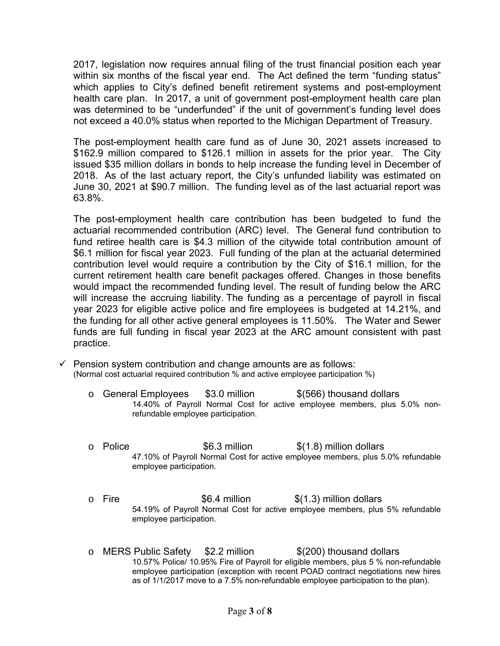2017, legislation now requires annual filing of the trust financial position each year within six months of the fiscal year end. The Act defined the term "funding status" which applies to City's defined benefit retirement systems and post-employment health care plan. In 2017, a unit of government post-employment health care plan was determined to be "underfunded" if the unit of government's funding level does not exceed a 40.0% status when reported to the Michigan Department of Treasury.

The post-employment health care fund as of June 30, 2021 assets increased to \$162.9 million compared to \$126.1 million in assets for the prior year. The City issued \$35 million dollars in bonds to help increase the funding level in December of 2018. As of the last actuary report, the City's unfunded liability was estimated on June 30, 2021 at \$90.7 million. The funding level as of the last actuarial report was 63.8%.

The post-employment health care contribution has been budgeted to fund the actuarial recommended contribution (ARC) level. The General fund contribution to fund retiree health care is \$4.3 million of the citywide total contribution amount of \$6.1 million for fiscal year 2023. Full funding of the plan at the actuarial determined contribution level would require a contribution by the City of \$16.1 million, for the current retirement health care benefit packages offered. Changes in those benefits would impact the recommended funding level. The result of funding below the ARC will increase the accruing liability. The funding as a percentage of payroll in fiscal year 2023 for eligible active police and fire employees is budgeted at 14.21%, and the funding for all other active general employees is 11.50%. The Water and Sewer funds are full funding in fiscal year 2023 at the ARC amount consistent with past practice.

- $\checkmark$  Pension system contribution and change amounts are as follows: (Normal cost actuarial required contribution % and active employee participation %)
	- $\circ$  General Employees  $$3.0$  million  $$(566)$  thousand dollars 14.40% of Payroll Normal Cost for active employee members, plus 5.0% nonrefundable employee participation.
	- $\circ$  Police  $\qquad$  \$6.3 million  $\qquad$  \$(1.8) million dollars 47.10% of Payroll Normal Cost for active employee members, plus 5.0% refundable employee participation.
	- $\circ$  Fire  $\bullet$  \$6.4 million  $\bullet$  \$(1.3) million dollars 54.19% of Payroll Normal Cost for active employee members, plus 5% refundable employee participation.
	- $\circ$  MERS Public Safety  $$2.2$  million  $$(200)$  thousand dollars 10.57% Police/ 10.95% Fire of Payroll for eligible members, plus 5 % non-refundable employee participation (exception with recent POAD contract negotiations new hires as of 1/1/2017 move to a 7.5% non-refundable employee participation to the plan).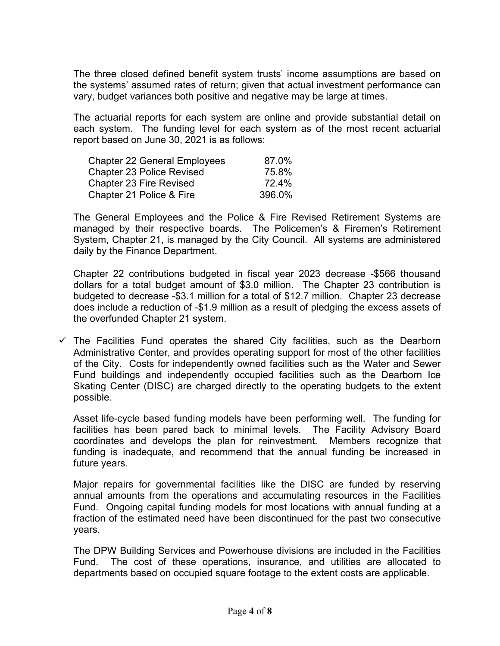The three closed defined benefit system trusts' income assumptions are based on the systems' assumed rates of return; given that actual investment performance can vary, budget variances both positive and negative may be large at times.

The actuarial reports for each system are online and provide substantial detail on each system. The funding level for each system as of the most recent actuarial report based on June 30, 2021 is as follows:

| <b>Chapter 22 General Employees</b> | 87.0%  |
|-------------------------------------|--------|
| <b>Chapter 23 Police Revised</b>    | 75.8%  |
| <b>Chapter 23 Fire Revised</b>      | 72.4%  |
| Chapter 21 Police & Fire            | 396.0% |

The General Employees and the Police & Fire Revised Retirement Systems are managed by their respective boards. The Policemen's & Firemen's Retirement System, Chapter 21, is managed by the City Council. All systems are administered daily by the Finance Department.

Chapter 22 contributions budgeted in fiscal year 2023 decrease -\$566 thousand dollars for a total budget amount of \$3.0 million. The Chapter 23 contribution is budgeted to decrease -\$3.1 million for a total of \$12.7 million. Chapter 23 decrease does include a reduction of -\$1.9 million as a result of pledging the excess assets of the overfunded Chapter 21 system.

 $\checkmark$  The Facilities Fund operates the shared City facilities, such as the Dearborn Administrative Center, and provides operating support for most of the other facilities of the City. Costs for independently owned facilities such as the Water and Sewer Fund buildings and independently occupied facilities such as the Dearborn Ice Skating Center (DISC) are charged directly to the operating budgets to the extent possible.

Asset life-cycle based funding models have been performing well. The funding for facilities has been pared back to minimal levels. The Facility Advisory Board coordinates and develops the plan for reinvestment. Members recognize that funding is inadequate, and recommend that the annual funding be increased in future years.

Major repairs for governmental facilities like the DISC are funded by reserving annual amounts from the operations and accumulating resources in the Facilities Fund. Ongoing capital funding models for most locations with annual funding at a fraction of the estimated need have been discontinued for the past two consecutive years.

The DPW Building Services and Powerhouse divisions are included in the Facilities Fund. The cost of these operations, insurance, and utilities are allocated to departments based on occupied square footage to the extent costs are applicable.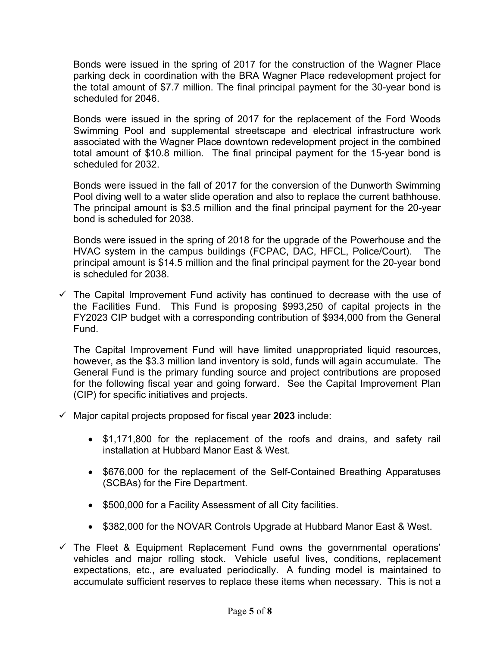Bonds were issued in the spring of 2017 for the construction of the Wagner Place parking deck in coordination with the BRA Wagner Place redevelopment project for the total amount of \$7.7 million. The final principal payment for the 30-year bond is scheduled for 2046.

Bonds were issued in the spring of 2017 for the replacement of the Ford Woods Swimming Pool and supplemental streetscape and electrical infrastructure work associated with the Wagner Place downtown redevelopment project in the combined total amount of \$10.8 million. The final principal payment for the 15-year bond is scheduled for 2032.

Bonds were issued in the fall of 2017 for the conversion of the Dunworth Swimming Pool diving well to a water slide operation and also to replace the current bathhouse. The principal amount is \$3.5 million and the final principal payment for the 20-year bond is scheduled for 2038.

Bonds were issued in the spring of 2018 for the upgrade of the Powerhouse and the HVAC system in the campus buildings (FCPAC, DAC, HFCL, Police/Court). The principal amount is \$14.5 million and the final principal payment for the 20-year bond is scheduled for 2038.

 $\checkmark$  The Capital Improvement Fund activity has continued to decrease with the use of the Facilities Fund. This Fund is proposing \$993,250 of capital projects in the FY2023 CIP budget with a corresponding contribution of \$934,000 from the General Fund.

The Capital Improvement Fund will have limited unappropriated liquid resources, however, as the \$3.3 million land inventory is sold, funds will again accumulate. The General Fund is the primary funding source and project contributions are proposed for the following fiscal year and going forward. See the Capital Improvement Plan (CIP) for specific initiatives and projects.

- $\checkmark$  Major capital projects proposed for fiscal year **2023** include:
	- \$1,171,800 for the replacement of the roofs and drains, and safety rail installation at Hubbard Manor East & West.
	- \$676,000 for the replacement of the Self-Contained Breathing Apparatuses (SCBAs) for the Fire Department.
	- \$500,000 for a Facility Assessment of all City facilities.
	- \$382,000 for the NOVAR Controls Upgrade at Hubbard Manor East & West.
- $\checkmark$  The Fleet & Equipment Replacement Fund owns the governmental operations' vehicles and major rolling stock. Vehicle useful lives, conditions, replacement expectations, etc., are evaluated periodically. A funding model is maintained to accumulate sufficient reserves to replace these items when necessary. This is not a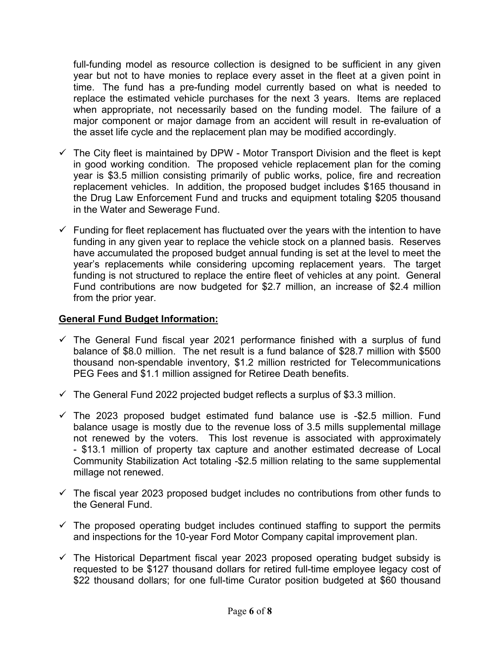full-funding model as resource collection is designed to be sufficient in any given year but not to have monies to replace every asset in the fleet at a given point in time. The fund has a pre-funding model currently based on what is needed to replace the estimated vehicle purchases for the next 3 years. Items are replaced when appropriate, not necessarily based on the funding model. The failure of a major component or major damage from an accident will result in re-evaluation of the asset life cycle and the replacement plan may be modified accordingly.

- $\checkmark$  The City fleet is maintained by DPW Motor Transport Division and the fleet is kept in good working condition. The proposed vehicle replacement plan for the coming year is \$3.5 million consisting primarily of public works, police, fire and recreation replacement vehicles. In addition, the proposed budget includes \$165 thousand in the Drug Law Enforcement Fund and trucks and equipment totaling \$205 thousand in the Water and Sewerage Fund.
- $\checkmark$  Funding for fleet replacement has fluctuated over the years with the intention to have funding in any given year to replace the vehicle stock on a planned basis. Reserves have accumulated the proposed budget annual funding is set at the level to meet the year's replacements while considering upcoming replacement years. The target funding is not structured to replace the entire fleet of vehicles at any point. General Fund contributions are now budgeted for \$2.7 million, an increase of \$2.4 million from the prior year.

#### **General Fund Budget Information:**

- $\checkmark$  The General Fund fiscal year 2021 performance finished with a surplus of fund balance of \$8.0 million. The net result is a fund balance of \$28.7 million with \$500 thousand non-spendable inventory, \$1.2 million restricted for Telecommunications PEG Fees and \$1.1 million assigned for Retiree Death benefits.
- $\checkmark$  The General Fund 2022 projected budget reflects a surplus of \$3.3 million.
- $\checkmark$  The 2023 proposed budget estimated fund balance use is -\$2.5 million. Fund balance usage is mostly due to the revenue loss of 3.5 mills supplemental millage not renewed by the voters. This lost revenue is associated with approximately - \$13.1 million of property tax capture and another estimated decrease of Local Community Stabilization Act totaling -\$2.5 million relating to the same supplemental millage not renewed.
- $\checkmark$  The fiscal year 2023 proposed budget includes no contributions from other funds to the General Fund.
- $\checkmark$  The proposed operating budget includes continued staffing to support the permits and inspections for the 10-year Ford Motor Company capital improvement plan.
- $\checkmark$  The Historical Department fiscal year 2023 proposed operating budget subsidy is requested to be \$127 thousand dollars for retired full-time employee legacy cost of \$22 thousand dollars; for one full-time Curator position budgeted at \$60 thousand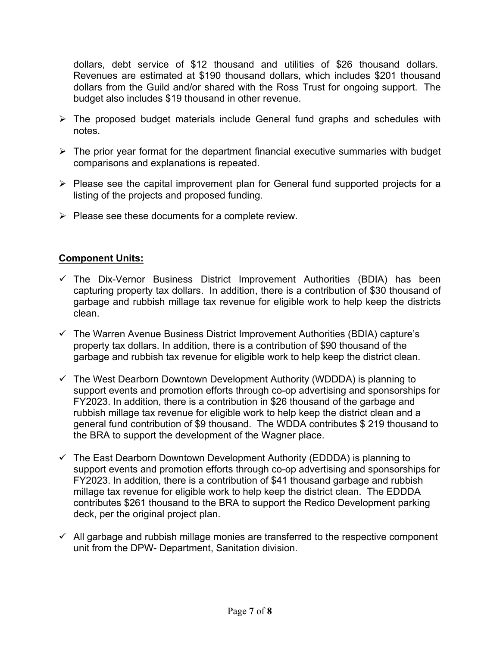dollars, debt service of \$12 thousand and utilities of \$26 thousand dollars. Revenues are estimated at \$190 thousand dollars, which includes \$201 thousand dollars from the Guild and/or shared with the Ross Trust for ongoing support. The budget also includes \$19 thousand in other revenue.

- $\triangleright$  The proposed budget materials include General fund graphs and schedules with notes.
- $\triangleright$  The prior year format for the department financial executive summaries with budget comparisons and explanations is repeated.
- $\triangleright$  Please see the capital improvement plan for General fund supported projects for a listing of the projects and proposed funding.
- $\triangleright$  Please see these documents for a complete review.

### **Component Units:**

- $\checkmark$  The Dix-Vernor Business District Improvement Authorities (BDIA) has been capturing property tax dollars. In addition, there is a contribution of \$30 thousand of garbage and rubbish millage tax revenue for eligible work to help keep the districts clean.
- $\checkmark$  The Warren Avenue Business District Improvement Authorities (BDIA) capture's property tax dollars. In addition, there is a contribution of \$90 thousand of the garbage and rubbish tax revenue for eligible work to help keep the district clean.
- $\checkmark$  The West Dearborn Downtown Development Authority (WDDDA) is planning to support events and promotion efforts through co-op advertising and sponsorships for FY2023. In addition, there is a contribution in \$26 thousand of the garbage and rubbish millage tax revenue for eligible work to help keep the district clean and a general fund contribution of \$9 thousand. The WDDA contributes \$ 219 thousand to the BRA to support the development of the Wagner place.
- $\checkmark$  The East Dearborn Downtown Development Authority (EDDDA) is planning to support events and promotion efforts through co-op advertising and sponsorships for FY2023. In addition, there is a contribution of \$41 thousand garbage and rubbish millage tax revenue for eligible work to help keep the district clean. The EDDDA contributes \$261 thousand to the BRA to support the Redico Development parking deck, per the original project plan.
- $\checkmark$  All garbage and rubbish millage monies are transferred to the respective component unit from the DPW- Department, Sanitation division.